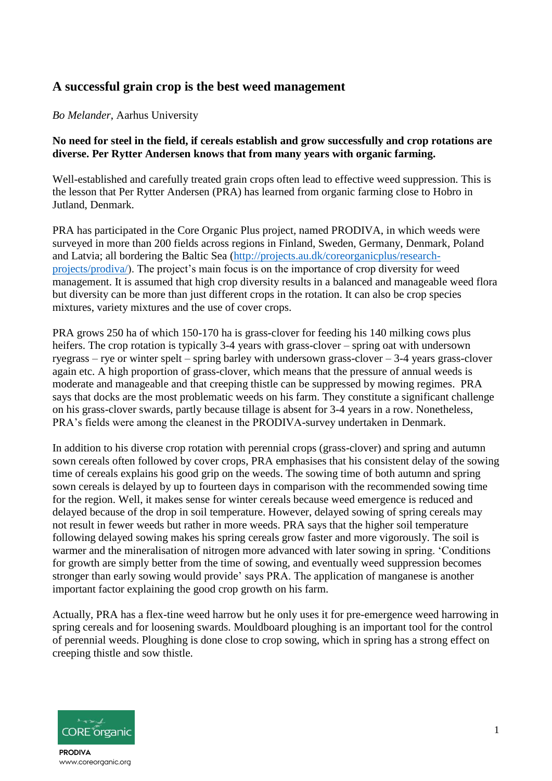## **A successful grain crop is the best weed management**

## *Bo Melander*, Aarhus University

## **No need for steel in the field, if cereals establish and grow successfully and crop rotations are diverse. Per Rytter Andersen knows that from many years with organic farming.**

Well-established and carefully treated grain crops often lead to effective weed suppression. This is the lesson that Per Rytter Andersen (PRA) has learned from organic farming close to Hobro in Jutland, Denmark.

PRA has participated in the Core Organic Plus project, named PRODIVA, in which weeds were surveyed in more than 200 fields across regions in Finland, Sweden, Germany, Denmark, Poland and Latvia; all bordering the Baltic Sea [\(http://projects.au.dk/coreorganicplus/research](http://projects.au.dk/coreorganicplus/research-projects/prodiva/)[projects/prodiva/\)](http://projects.au.dk/coreorganicplus/research-projects/prodiva/). The project's main focus is on the importance of crop diversity for weed management. It is assumed that high crop diversity results in a balanced and manageable weed flora but diversity can be more than just different crops in the rotation. It can also be crop species mixtures, variety mixtures and the use of cover crops.

PRA grows 250 ha of which 150-170 ha is grass-clover for feeding his 140 milking cows plus heifers. The crop rotation is typically 3-4 years with grass-clover – spring oat with undersown ryegrass – rye or winter spelt – spring barley with undersown grass-clover – 3-4 years grass-clover again etc. A high proportion of grass-clover, which means that the pressure of annual weeds is moderate and manageable and that creeping thistle can be suppressed by mowing regimes. PRA says that docks are the most problematic weeds on his farm. They constitute a significant challenge on his grass-clover swards, partly because tillage is absent for 3-4 years in a row. Nonetheless, PRA's fields were among the cleanest in the PRODIVA-survey undertaken in Denmark.

In addition to his diverse crop rotation with perennial crops (grass-clover) and spring and autumn sown cereals often followed by cover crops, PRA emphasises that his consistent delay of the sowing time of cereals explains his good grip on the weeds. The sowing time of both autumn and spring sown cereals is delayed by up to fourteen days in comparison with the recommended sowing time for the region. Well, it makes sense for winter cereals because weed emergence is reduced and delayed because of the drop in soil temperature. However, delayed sowing of spring cereals may not result in fewer weeds but rather in more weeds. PRA says that the higher soil temperature following delayed sowing makes his spring cereals grow faster and more vigorously. The soil is warmer and the mineralisation of nitrogen more advanced with later sowing in spring. 'Conditions for growth are simply better from the time of sowing, and eventually weed suppression becomes stronger than early sowing would provide' says PRA. The application of manganese is another important factor explaining the good crop growth on his farm.

Actually, PRA has a flex-tine weed harrow but he only uses it for pre-emergence weed harrowing in spring cereals and for loosening swards. Mouldboard ploughing is an important tool for the control of perennial weeds. Ploughing is done close to crop sowing, which in spring has a strong effect on creeping thistle and sow thistle.